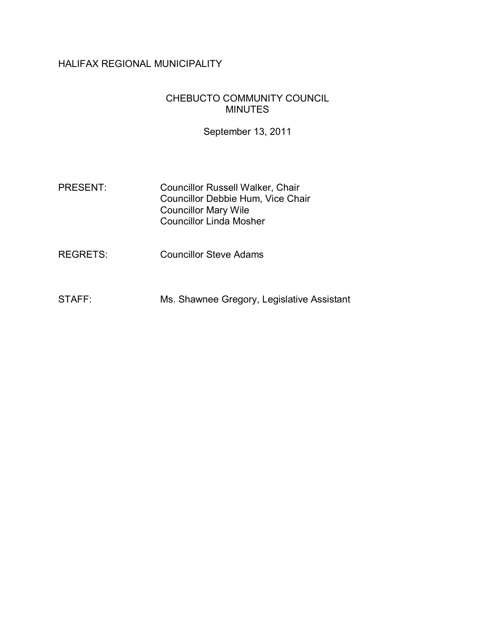## HALIFAX REGIONAL MUNICIPALITY

#### CHEBUCTO COMMUNITY COUNCIL MINUTES

September 13, 2011

| <b>PRESENT:</b> | <b>Councillor Russell Walker, Chair</b>  |
|-----------------|------------------------------------------|
|                 | <b>Councillor Debbie Hum, Vice Chair</b> |
|                 | <b>Councillor Mary Wile</b>              |
|                 | <b>Councillor Linda Mosher</b>           |

REGRETS: Councillor Steve Adams

STAFF: Ms. Shawnee Gregory, Legislative Assistant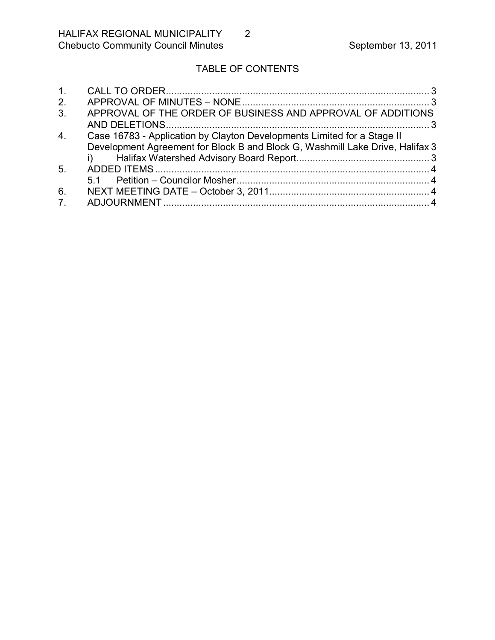# TABLE OF CONTENTS

| 1 <sub>1</sub> |                                                                               |  |
|----------------|-------------------------------------------------------------------------------|--|
| 2.             |                                                                               |  |
| 3.             | APPROVAL OF THE ORDER OF BUSINESS AND APPROVAL OF ADDITIONS                   |  |
|                |                                                                               |  |
| 4.             | Case 16783 - Application by Clayton Developments Limited for a Stage II       |  |
|                | Development Agreement for Block B and Block G, Washmill Lake Drive, Halifax 3 |  |
|                |                                                                               |  |
| 5.             |                                                                               |  |
|                |                                                                               |  |
| 6.             |                                                                               |  |
| 7 <sub>1</sub> |                                                                               |  |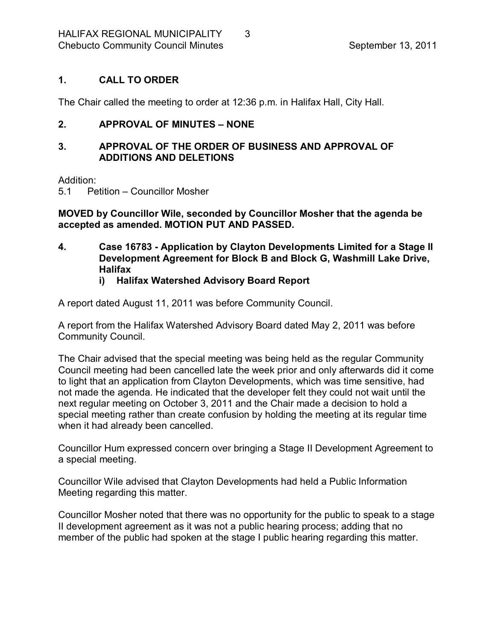#### <span id="page-2-0"></span>**1. CALL TO ORDER**

The Chair called the meeting to order at 12:36 p.m. in Halifax Hall, City Hall.

#### <span id="page-2-1"></span>**2. APPROVAL OF MINUTES – NONE**

#### <span id="page-2-2"></span>**3. APPROVAL OF THE ORDER OF BUSINESS AND APPROVAL OF ADDITIONS AND DELETIONS**

Addition:

5.1 Petition – Councillor Mosher

**MOVED by Councillor Wile, seconded by Councillor Mosher that the agenda be accepted as amended. MOTION PUT AND PASSED.** 

<span id="page-2-3"></span>**4. Case 16783 Application by Clayton Developments Limited for a Stage II Development Agreement for Block B and Block G, Washmill Lake Drive, Halifax**

#### <span id="page-2-4"></span>**i) Halifax Watershed Advisory Board Report**

A report dated August 11, 2011 was before Community Council.

A report from the Halifax Watershed Advisory Board dated May 2, 2011 was before Community Council.

The Chair advised that the special meeting was being held as the regular Community Council meeting had been cancelled late the week prior and only afterwards did it come to light that an application from Clayton Developments, which was time sensitive, had not made the agenda. He indicated that the developer felt they could not wait until the next regular meeting on October 3, 2011 and the Chair made a decision to hold a special meeting rather than create confusion by holding the meeting at its regular time when it had already been cancelled.

Councillor Hum expressed concern over bringing a Stage II Development Agreement to a special meeting.

Councillor Wile advised that Clayton Developments had held a Public Information Meeting regarding this matter.

Councillor Mosher noted that there was no opportunity for the public to speak to a stage II development agreement as it was not a public hearing process; adding that no member of the public had spoken at the stage I public hearing regarding this matter.